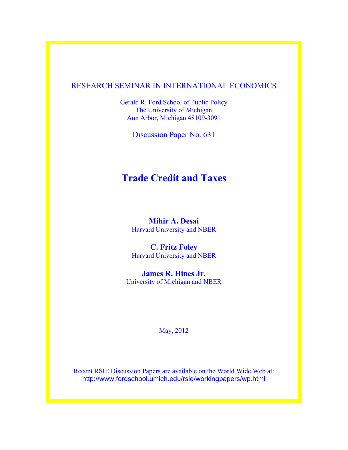# RESEARCH SEMINAR IN INTERNATIONAL ECONOMICS

Gerald R. Ford School of Public Policy The University of Michigan Ann Arbor, Michigan 48109-3091

Discussion Paper No. 631

# **Trade Credit and Taxes**

**Mihir A. Desai** Harvard University and NBER

**C. Fritz Foley** Harvard University and NBER

**James R. Hines Jr.** University of Michigan and NBER

May, 2012

Recent RSIE Discussion Papers are available on the World Wide Web at: http://www.fordschool.umich.edu/rsie/workingpapers/wp.html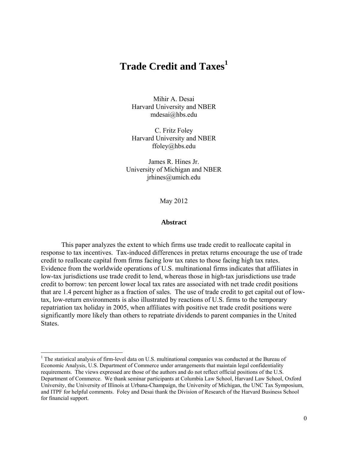# **Trade Credit and Taxes<sup>1</sup>**

Mihir A. Desai Harvard University and NBER mdesai@hbs.edu

C. Fritz Foley Harvard University and NBER ffoley@hbs.edu

James R. Hines Jr. University of Michigan and NBER jrhines@umich.edu

May 2012

#### **Abstract**

 This paper analyzes the extent to which firms use trade credit to reallocate capital in response to tax incentives. Tax-induced differences in pretax returns encourage the use of trade credit to reallocate capital from firms facing low tax rates to those facing high tax rates. Evidence from the worldwide operations of U.S. multinational firms indicates that affiliates in low-tax jurisdictions use trade credit to lend, whereas those in high-tax jurisdictions use trade credit to borrow: ten percent lower local tax rates are associated with net trade credit positions that are 1.4 percent higher as a fraction of sales. The use of trade credit to get capital out of lowtax, low-return environments is also illustrated by reactions of U.S. firms to the temporary repatriation tax holiday in 2005, when affiliates with positive net trade credit positions were significantly more likely than others to repatriate dividends to parent companies in the United States.

<sup>&</sup>lt;sup>1</sup> The statistical analysis of firm-level data on U.S. multinational companies was conducted at the Bureau of Economic Analysis, U.S. Department of Commerce under arrangements that maintain legal confidentiality requirements. The views expressed are those of the authors and do not reflect official positions of the U.S. Department of Commerce. We thank seminar participants at Columbia Law School, Harvard Law School, Oxford University, the University of Illinois at Urbana-Champaign, the University of Michigan, the UNC Tax Symposium, and ITPF for helpful comments. Foley and Desai thank the Division of Research of the Harvard Business School for financial support.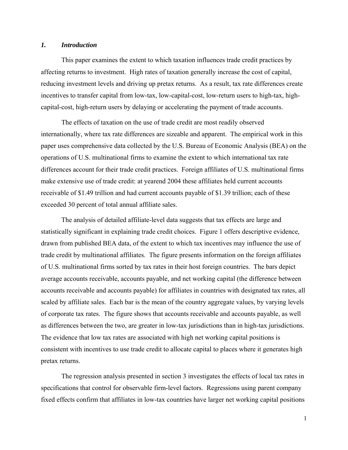## *1. Introduction*

This paper examines the extent to which taxation influences trade credit practices by affecting returns to investment. High rates of taxation generally increase the cost of capital, reducing investment levels and driving up pretax returns. As a result, tax rate differences create incentives to transfer capital from low-tax, low-capital-cost, low-return users to high-tax, highcapital-cost, high-return users by delaying or accelerating the payment of trade accounts.

The effects of taxation on the use of trade credit are most readily observed internationally, where tax rate differences are sizeable and apparent. The empirical work in this paper uses comprehensive data collected by the U.S. Bureau of Economic Analysis (BEA) on the operations of U.S. multinational firms to examine the extent to which international tax rate differences account for their trade credit practices. Foreign affiliates of U.S. multinational firms make extensive use of trade credit: at yearend 2004 these affiliates held current accounts receivable of \$1.49 trillion and had current accounts payable of \$1.39 trillion; each of these exceeded 30 percent of total annual affiliate sales.

The analysis of detailed affiliate-level data suggests that tax effects are large and statistically significant in explaining trade credit choices. Figure 1 offers descriptive evidence, drawn from published BEA data, of the extent to which tax incentives may influence the use of trade credit by multinational affiliates. The figure presents information on the foreign affiliates of U.S. multinational firms sorted by tax rates in their host foreign countries. The bars depict average accounts receivable, accounts payable, and net working capital (the difference between accounts receivable and accounts payable) for affiliates in countries with designated tax rates, all scaled by affiliate sales. Each bar is the mean of the country aggregate values, by varying levels of corporate tax rates. The figure shows that accounts receivable and accounts payable, as well as differences between the two, are greater in low-tax jurisdictions than in high-tax jurisdictions. The evidence that low tax rates are associated with high net working capital positions is consistent with incentives to use trade credit to allocate capital to places where it generates high pretax returns.

The regression analysis presented in section 3 investigates the effects of local tax rates in specifications that control for observable firm-level factors. Regressions using parent company fixed effects confirm that affiliates in low-tax countries have larger net working capital positions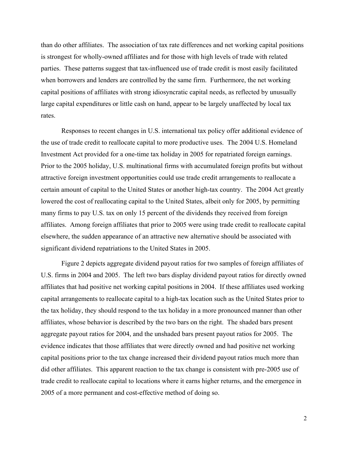than do other affiliates. The association of tax rate differences and net working capital positions is strongest for wholly-owned affiliates and for those with high levels of trade with related parties. These patterns suggest that tax-influenced use of trade credit is most easily facilitated when borrowers and lenders are controlled by the same firm. Furthermore, the net working capital positions of affiliates with strong idiosyncratic capital needs, as reflected by unusually large capital expenditures or little cash on hand, appear to be largely unaffected by local tax rates.

Responses to recent changes in U.S. international tax policy offer additional evidence of the use of trade credit to reallocate capital to more productive uses. The 2004 U.S. Homeland Investment Act provided for a one-time tax holiday in 2005 for repatriated foreign earnings. Prior to the 2005 holiday, U.S. multinational firms with accumulated foreign profits but without attractive foreign investment opportunities could use trade credit arrangements to reallocate a certain amount of capital to the United States or another high-tax country. The 2004 Act greatly lowered the cost of reallocating capital to the United States, albeit only for 2005, by permitting many firms to pay U.S. tax on only 15 percent of the dividends they received from foreign affiliates. Among foreign affiliates that prior to 2005 were using trade credit to reallocate capital elsewhere, the sudden appearance of an attractive new alternative should be associated with significant dividend repatriations to the United States in 2005.

Figure 2 depicts aggregate dividend payout ratios for two samples of foreign affiliates of U.S. firms in 2004 and 2005. The left two bars display dividend payout ratios for directly owned affiliates that had positive net working capital positions in 2004. If these affiliates used working capital arrangements to reallocate capital to a high-tax location such as the United States prior to the tax holiday, they should respond to the tax holiday in a more pronounced manner than other affiliates, whose behavior is described by the two bars on the right. The shaded bars present aggregate payout ratios for 2004, and the unshaded bars present payout ratios for 2005. The evidence indicates that those affiliates that were directly owned and had positive net working capital positions prior to the tax change increased their dividend payout ratios much more than did other affiliates. This apparent reaction to the tax change is consistent with pre-2005 use of trade credit to reallocate capital to locations where it earns higher returns, and the emergence in 2005 of a more permanent and cost-effective method of doing so.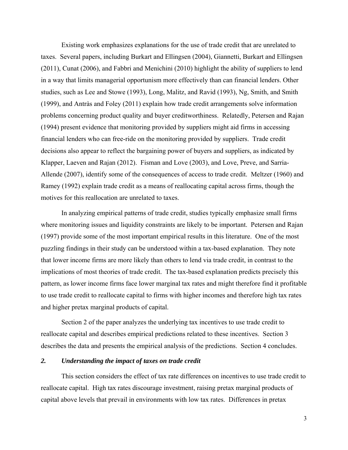Existing work emphasizes explanations for the use of trade credit that are unrelated to taxes. Several papers, including Burkart and Ellingsen (2004), Giannetti, Burkart and Ellingsen (2011), Cunat (2006), and Fabbri and Menichini (2010) highlight the ability of suppliers to lend in a way that limits managerial opportunism more effectively than can financial lenders. Other studies, such as Lee and Stowe (1993), Long, Malitz, and Ravid (1993), Ng, Smith, and Smith (1999), and Antràs and Foley (2011) explain how trade credit arrangements solve information problems concerning product quality and buyer creditworthiness. Relatedly, Petersen and Rajan (1994) present evidence that monitoring provided by suppliers might aid firms in accessing financial lenders who can free-ride on the monitoring provided by suppliers. Trade credit decisions also appear to reflect the bargaining power of buyers and suppliers, as indicated by Klapper, Laeven and Rajan (2012). Fisman and Love (2003), and Love, Preve, and Sarria-Allende (2007), identify some of the consequences of access to trade credit. Meltzer (1960) and Ramey (1992) explain trade credit as a means of reallocating capital across firms, though the motives for this reallocation are unrelated to taxes.

In analyzing empirical patterns of trade credit, studies typically emphasize small firms where monitoring issues and liquidity constraints are likely to be important. Petersen and Rajan (1997) provide some of the most important empirical results in this literature. One of the most puzzling findings in their study can be understood within a tax-based explanation. They note that lower income firms are more likely than others to lend via trade credit, in contrast to the implications of most theories of trade credit. The tax-based explanation predicts precisely this pattern, as lower income firms face lower marginal tax rates and might therefore find it profitable to use trade credit to reallocate capital to firms with higher incomes and therefore high tax rates and higher pretax marginal products of capital.

Section 2 of the paper analyzes the underlying tax incentives to use trade credit to reallocate capital and describes empirical predictions related to these incentives. Section 3 describes the data and presents the empirical analysis of the predictions. Section 4 concludes.

## *2. Understanding the impact of taxes on trade credit*

This section considers the effect of tax rate differences on incentives to use trade credit to reallocate capital. High tax rates discourage investment, raising pretax marginal products of capital above levels that prevail in environments with low tax rates. Differences in pretax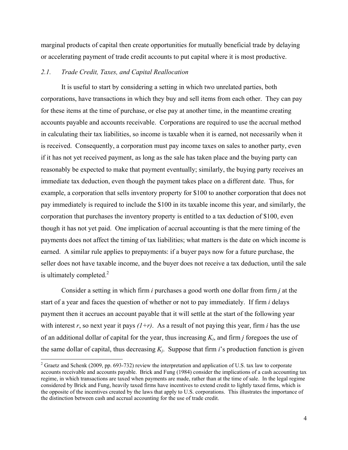marginal products of capital then create opportunities for mutually beneficial trade by delaying or accelerating payment of trade credit accounts to put capital where it is most productive.

# *2.1. Trade Credit, Taxes, and Capital Reallocation*

It is useful to start by considering a setting in which two unrelated parties, both corporations, have transactions in which they buy and sell items from each other. They can pay for these items at the time of purchase, or else pay at another time, in the meantime creating accounts payable and accounts receivable. Corporations are required to use the accrual method in calculating their tax liabilities, so income is taxable when it is earned, not necessarily when it is received. Consequently, a corporation must pay income taxes on sales to another party, even if it has not yet received payment, as long as the sale has taken place and the buying party can reasonably be expected to make that payment eventually; similarly, the buying party receives an immediate tax deduction, even though the payment takes place on a different date. Thus, for example, a corporation that sells inventory property for \$100 to another corporation that does not pay immediately is required to include the \$100 in its taxable income this year, and similarly, the corporation that purchases the inventory property is entitled to a tax deduction of \$100, even though it has not yet paid. One implication of accrual accounting is that the mere timing of the payments does not affect the timing of tax liabilities; what matters is the date on which income is earned. A similar rule applies to prepayments: if a buyer pays now for a future purchase, the seller does not have taxable income, and the buyer does not receive a tax deduction, until the sale is ultimately completed. $^{2}$ 

Consider a setting in which firm *i* purchases a good worth one dollar from firm *j* at the start of a year and faces the question of whether or not to pay immediately. If firm *i* delays payment then it accrues an account payable that it will settle at the start of the following year with interest *r*, so next year it pays  $(1+r)$ . As a result of not paying this year, firm *i* has the use of an additional dollar of capital for the year, thus increasing *Ki*, and firm *j* foregoes the use of the same dollar of capital, thus decreasing  $K_i$ . Suppose that firm *i*'s production function is given

<sup>&</sup>lt;sup>2</sup> Graetz and Schenk (2009, pp. 693-732) review the interpretation and application of U.S. tax law to corporate accounts receivable and accounts payable. Brick and Fung (1984) consider the implications of a cash accounting tax regime, in which transactions are taxed when payments are made, rather than at the time of sale. In the legal regime considered by Brick and Fung, heavily taxed firms have incentives to extend credit to lightly taxed firms, which is the opposite of the incentives created by the laws that apply to U.S. corporations. This illustrates the importance of the distinction between cash and accrual accounting for the use of trade credit.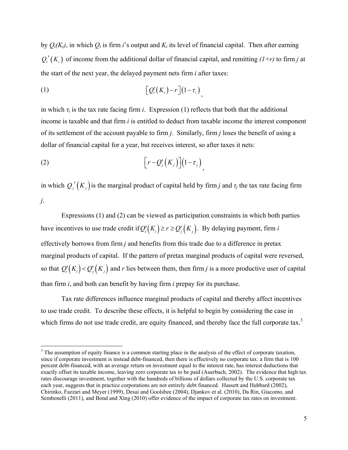by  $Q_i(K_i)$ , in which  $Q_i$  is firm *i*'s output and  $K_i$  its level of financial capital. Then after earning  $Q_i'(K_i)$  of income from the additional dollar of financial capital, and remitting  $(1+r)$  to firm *j* at the start of the next year, the delayed payment nets firm *i* after taxes:

$$
(1) \qquad \qquad \big[Q_i'(K_i)-r\big](1-\tau_i)\big),
$$

in which  $\tau_i$  is the tax rate facing firm *i*. Expression (1) reflects that both that the additional income is taxable and that firm *i* is entitled to deduct from taxable income the interest component of its settlement of the account payable to firm *j*. Similarly, firm *j* loses the benefit of using a dollar of financial capital for a year, but receives interest, so after taxes it nets:

$$
(2) \qquad \qquad \left[ r - Q_j'(K_j) \right] \left( 1 - \tau_j \right),
$$

in which  $Q_i'(K_i)$  is the marginal product of capital held by firm *j* and  $\tau_j$  the tax rate facing firm *j*.

Expressions (1) and (2) can be viewed as participation constraints in which both parties have incentives to use trade credit if  $Q_i'(K_i) \ge r \ge Q_j(K_i)$ . By delaying payment, firm *i* effectively borrows from firm *j* and benefits from this trade due to a difference in pretax marginal products of capital. If the pattern of pretax marginal products of capital were reversed, so that  $Q_i(K_i) < Q_j(K_j)$  and *r* lies between them, then firm *j* is a more productive user of capital than firm *i*, and both can benefit by having firm *i* prepay for its purchase.

Tax rate differences influence marginal products of capital and thereby affect incentives to use trade credit. To describe these effects, it is helpful to begin by considering the case in which firms do not use trade credit, are equity financed, and thereby face the full corporate tax.<sup>3</sup>

<sup>&</sup>lt;sup>3</sup> The assumption of equity finance is a common starting place in the analysis of the effect of corporate taxation, since if corporate investment is instead debt-financed, then there is effectively no corporate tax: a firm that is 100 percent debt-financed, with an average return on investment equal to the interest rate, has interest deductions that exactly offset its taxable income, leaving zero corporate tax to be paid (Auerbach, 2002). The evidence that high tax rates discourage investment, together with the hundreds of billions of dollars collected by the U.S. corporate tax each year, suggests that in practice corporations are not entirely debt financed. Hassett and Hubbard (2002), Chirinko, Fazzari and Meyer (1999), Desai and Goolsbee (2004), Djankov et al. (2010), Da Rin, Giacomo, and Sembenelli (2011), and Bond and Xing (2010) offer evidence of the impact of corporate tax rates on investment.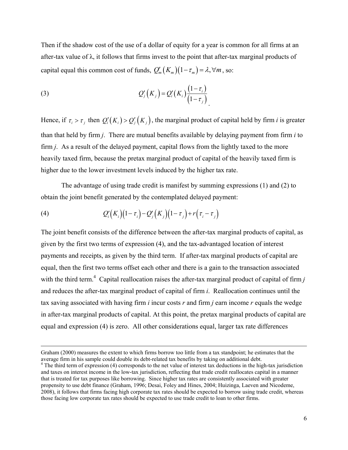Then if the shadow cost of the use of a dollar of equity for a year is common for all firms at an after-tax value of λ, it follows that firms invest to the point that after-tax marginal products of capital equal this common cost of funds,  $Q'_m(K_m)(1 - \tau_m) = \lambda, \forall m$ , so:

(3) 
$$
Q'_{j}(K_{j})=Q'_{i}(K_{i})\frac{(1-\tau_{i})}{(1-\tau_{j})}
$$

Hence, if  $\tau_i > \tau_j$  then  $Q_i(K_i) > Q_i(K_j)$ , the marginal product of capital held by firm *i* is greater than that held by firm *j*. There are mutual benefits available by delaying payment from firm *i* to firm *j*. As a result of the delayed payment, capital flows from the lightly taxed to the more heavily taxed firm, because the pretax marginal product of capital of the heavily taxed firm is higher due to the lower investment levels induced by the higher tax rate.

The advantage of using trade credit is manifest by summing expressions (1) and (2) to obtain the joint benefit generated by the contemplated delayed payment:

(4) 
$$
Q'_{i}(K_{i})(1-\tau_{i})-Q'_{j}(K_{j})(1-\tau_{j})+r(\tau_{i}-\tau_{j})
$$

The joint benefit consists of the difference between the after-tax marginal products of capital, as given by the first two terms of expression (4), and the tax-advantaged location of interest payments and receipts, as given by the third term. If after-tax marginal products of capital are equal, then the first two terms offset each other and there is a gain to the transaction associated with the third term.<sup>4</sup> Capital reallocation raises the after-tax marginal product of capital of firm  $j$ and reduces the after-tax marginal product of capital of firm *i*. Reallocation continues until the tax saving associated with having firm *i* incur costs *r* and firm *j* earn income *r* equals the wedge in after-tax marginal products of capital. At this point, the pretax marginal products of capital are equal and expression (4) is zero. All other considerations equal, larger tax rate differences

<u> 1989 - Johann Stoff, amerikansk politiker (d. 1989)</u>

Graham (2000) measures the extent to which firms borrow too little from a tax standpoint; he estimates that the average firm in his sample could double its debt-related tax benefits by taking on additional debt.

<sup>&</sup>lt;sup>4</sup> The third term of expression (4) corresponds to the net value of interest tax deductions in the high-tax jurisdiction and taxes on interest income in the low-tax jurisdiction, reflecting that trade credit reallocates capital in a manner that is treated for tax purposes like borrowing. Since higher tax rates are consistently associated with greater propensity to use debt finance (Graham, 1996; Desai, Foley and Hines, 2004; Huizinga, Laeven and Nicodeme, 2008), it follows that firms facing high corporate tax rates should be expected to borrow using trade credit, whereas those facing low corporate tax rates should be expected to use trade credit to loan to other firms.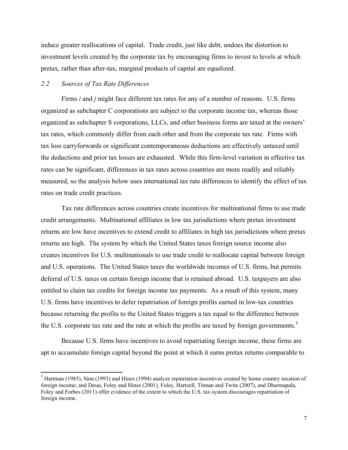induce greater reallocations of capital. Trade credit, just like debt, undoes the distortion to investment levels created by the corporate tax by encouraging firms to invest to levels at which pretax, rather than after-tax, marginal products of capital are equalized.

#### *2.2 Sources of Tax Rate Differences*

 Firms *i* and *j* might face different tax rates for any of a number of reasons. U.S. firms organized as subchapter C corporations are subject to the corporate income tax, whereas those organized as subchapter S corporations, LLCs, and other business forms are taxed at the owners' tax rates, which commonly differ from each other and from the corporate tax rate. Firms with tax loss carryforwards or significant contemporaneous deductions are effectively untaxed until the deductions and prior tax losses are exhausted. While this firm-level variation in effective tax rates can be significant, differences in tax rates across countries are more readily and reliably measured, so the analysis below uses international tax rate differences to identify the effect of tax rates on trade credit practices.

 Tax rate differences across countries create incentives for multinational firms to use trade credit arrangements. Multinational affiliates in low tax jurisdictions where pretax investment returns are low have incentives to extend credit to affiliates in high tax jurisdictions where pretax returns are high. The system by which the United States taxes foreign source income also creates incentives for U.S. multinationals to use trade credit to reallocate capital between foreign and U.S. operations. The United States taxes the worldwide incomes of U.S. firms, but permits deferral of U.S. taxes on certain foreign income that is retained abroad. U.S. taxpayers are also entitled to claim tax credits for foreign income tax payments. As a result of this system, many U.S. firms have incentives to defer repatriation of foreign profits earned in low-tax countries because returning the profits to the United States triggers a tax equal to the difference between the U.S. corporate tax rate and the rate at which the profits are taxed by foreign governments.<sup>5</sup>

Because U.S. firms have incentives to avoid repatriating foreign income, these firms are apt to accumulate foreign capital beyond the point at which it earns pretax returns comparable to

 $<sup>5</sup>$  Hartman (1985), Sinn (1993) and Hines (1994) analyze repatriation incentives created by home country taxation of</sup> foreign income; and Desai, Foley and Hines (2001), Foley, Hartzell, Titman and Twite (2007), and Dharmapala, Foley and Forbes (2011) offer evidence of the extent to which the U.S. tax system discourages repatriation of foreign income.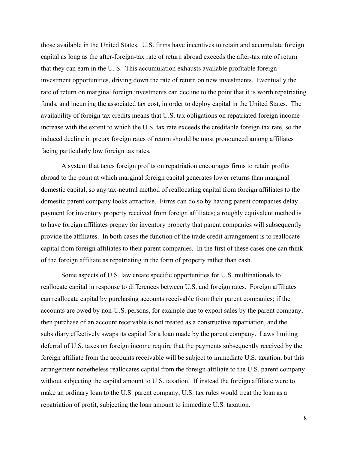those available in the United States. U.S. firms have incentives to retain and accumulate foreign capital as long as the after-foreign-tax rate of return abroad exceeds the after-tax rate of return that they can earn in the U. S. This accumulation exhausts available profitable foreign investment opportunities, driving down the rate of return on new investments. Eventually the rate of return on marginal foreign investments can decline to the point that it is worth repatriating funds, and incurring the associated tax cost, in order to deploy capital in the United States. The availability of foreign tax credits means that U.S. tax obligations on repatriated foreign income increase with the extent to which the U.S. tax rate exceeds the creditable foreign tax rate, so the induced decline in pretax foreign rates of return should be most pronounced among affiliates facing particularly low foreign tax rates.

A system that taxes foreign profits on repatriation encourages firms to retain profits abroad to the point at which marginal foreign capital generates lower returns than marginal domestic capital, so any tax-neutral method of reallocating capital from foreign affiliates to the domestic parent company looks attractive. Firms can do so by having parent companies delay payment for inventory property received from foreign affiliates; a roughly equivalent method is to have foreign affiliates prepay for inventory property that parent companies will subsequently provide the affiliates. In both cases the function of the trade credit arrangement is to reallocate capital from foreign affiliates to their parent companies. In the first of these cases one can think of the foreign affiliate as repatriating in the form of property rather than cash.

Some aspects of U.S. law create specific opportunities for U.S. multinationals to reallocate capital in response to differences between U.S. and foreign rates. Foreign affiliates can reallocate capital by purchasing accounts receivable from their parent companies; if the accounts are owed by non-U.S. persons, for example due to export sales by the parent company, then purchase of an account receivable is not treated as a constructive repatriation, and the subsidiary effectively swaps its capital for a loan made by the parent company. Laws limiting deferral of U.S. taxes on foreign income require that the payments subsequently received by the foreign affiliate from the accounts receivable will be subject to immediate U.S. taxation, but this arrangement nonetheless reallocates capital from the foreign affiliate to the U.S. parent company without subjecting the capital amount to U.S. taxation. If instead the foreign affiliate were to make an ordinary loan to the U.S. parent company, U.S. tax rules would treat the loan as a repatriation of profit, subjecting the loan amount to immediate U.S. taxation.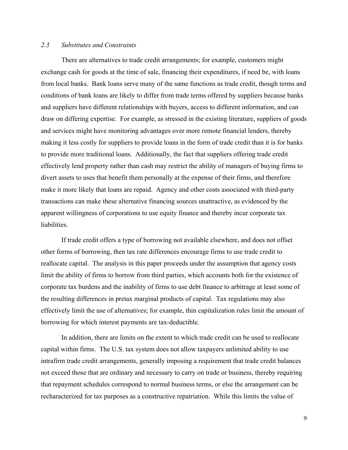## *2.3 Substitutes and Constraints*

There are alternatives to trade credit arrangements; for example, customers might exchange cash for goods at the time of sale, financing their expenditures, if need be, with loans from local banks. Bank loans serve many of the same functions as trade credit, though terms and conditions of bank loans are likely to differ from trade terms offered by suppliers because banks and suppliers have different relationships with buyers, access to different information, and can draw on differing expertise. For example, as stressed in the existing literature, suppliers of goods and services might have monitoring advantages over more remote financial lenders, thereby making it less costly for suppliers to provide loans in the form of trade credit than it is for banks to provide more traditional loans. Additionally, the fact that suppliers offering trade credit effectively lend property rather than cash may restrict the ability of managers of buying firms to divert assets to uses that benefit them personally at the expense of their firms, and therefore make it more likely that loans are repaid. Agency and other costs associated with third-party transactions can make these alternative financing sources unattractive, as evidenced by the apparent willingness of corporations to use equity finance and thereby incur corporate tax liabilities.

If trade credit offers a type of borrowing not available elsewhere, and does not offset other forms of borrowing, then tax rate differences encourage firms to use trade credit to reallocate capital. The analysis in this paper proceeds under the assumption that agency costs limit the ability of firms to borrow from third parties, which accounts both for the existence of corporate tax burdens and the inability of firms to use debt finance to arbitrage at least some of the resulting differences in pretax marginal products of capital. Tax regulations may also effectively limit the use of alternatives; for example, thin capitalization rules limit the amount of borrowing for which interest payments are tax-deductible.

In addition, there are limits on the extent to which trade credit can be used to reallocate capital within firms. The U.S. tax system does not allow taxpayers unlimited ability to use intrafirm trade credit arrangements, generally imposing a requirement that trade credit balances not exceed those that are ordinary and necessary to carry on trade or business, thereby requiring that repayment schedules correspond to normal business terms, or else the arrangement can be recharacterized for tax purposes as a constructive repatriation. While this limits the value of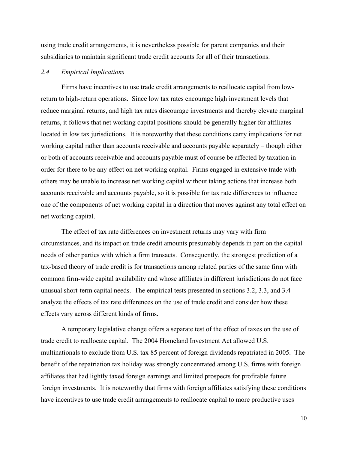using trade credit arrangements, it is nevertheless possible for parent companies and their subsidiaries to maintain significant trade credit accounts for all of their transactions.

## *2.4 Empirical Implications*

 Firms have incentives to use trade credit arrangements to reallocate capital from lowreturn to high-return operations. Since low tax rates encourage high investment levels that reduce marginal returns, and high tax rates discourage investments and thereby elevate marginal returns, it follows that net working capital positions should be generally higher for affiliates located in low tax jurisdictions. It is noteworthy that these conditions carry implications for net working capital rather than accounts receivable and accounts payable separately – though either or both of accounts receivable and accounts payable must of course be affected by taxation in order for there to be any effect on net working capital. Firms engaged in extensive trade with others may be unable to increase net working capital without taking actions that increase both accounts receivable and accounts payable, so it is possible for tax rate differences to influence one of the components of net working capital in a direction that moves against any total effect on net working capital.

The effect of tax rate differences on investment returns may vary with firm circumstances, and its impact on trade credit amounts presumably depends in part on the capital needs of other parties with which a firm transacts. Consequently, the strongest prediction of a tax-based theory of trade credit is for transactions among related parties of the same firm with common firm-wide capital availability and whose affiliates in different jurisdictions do not face unusual short-term capital needs. The empirical tests presented in sections 3.2, 3.3, and 3.4 analyze the effects of tax rate differences on the use of trade credit and consider how these effects vary across different kinds of firms.

 A temporary legislative change offers a separate test of the effect of taxes on the use of trade credit to reallocate capital. The 2004 Homeland Investment Act allowed U.S. multinationals to exclude from U.S. tax 85 percent of foreign dividends repatriated in 2005. The benefit of the repatriation tax holiday was strongly concentrated among U.S. firms with foreign affiliates that had lightly taxed foreign earnings and limited prospects for profitable future foreign investments. It is noteworthy that firms with foreign affiliates satisfying these conditions have incentives to use trade credit arrangements to reallocate capital to more productive uses

10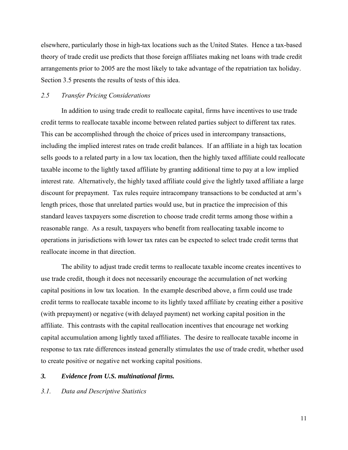elsewhere, particularly those in high-tax locations such as the United States. Hence a tax-based theory of trade credit use predicts that those foreign affiliates making net loans with trade credit arrangements prior to 2005 are the most likely to take advantage of the repatriation tax holiday. Section 3.5 presents the results of tests of this idea.

# *2.5 Transfer Pricing Considerations*

 In addition to using trade credit to reallocate capital, firms have incentives to use trade credit terms to reallocate taxable income between related parties subject to different tax rates. This can be accomplished through the choice of prices used in intercompany transactions, including the implied interest rates on trade credit balances. If an affiliate in a high tax location sells goods to a related party in a low tax location, then the highly taxed affiliate could reallocate taxable income to the lightly taxed affiliate by granting additional time to pay at a low implied interest rate. Alternatively, the highly taxed affiliate could give the lightly taxed affiliate a large discount for prepayment. Tax rules require intracompany transactions to be conducted at arm's length prices, those that unrelated parties would use, but in practice the imprecision of this standard leaves taxpayers some discretion to choose trade credit terms among those within a reasonable range. As a result, taxpayers who benefit from reallocating taxable income to operations in jurisdictions with lower tax rates can be expected to select trade credit terms that reallocate income in that direction.

The ability to adjust trade credit terms to reallocate taxable income creates incentives to use trade credit, though it does not necessarily encourage the accumulation of net working capital positions in low tax location. In the example described above, a firm could use trade credit terms to reallocate taxable income to its lightly taxed affiliate by creating either a positive (with prepayment) or negative (with delayed payment) net working capital position in the affiliate. This contrasts with the capital reallocation incentives that encourage net working capital accumulation among lightly taxed affiliates. The desire to reallocate taxable income in response to tax rate differences instead generally stimulates the use of trade credit, whether used to create positive or negative net working capital positions.

## *3. Evidence from U.S. multinational firms.*

#### *3.1. Data and Descriptive Statistics*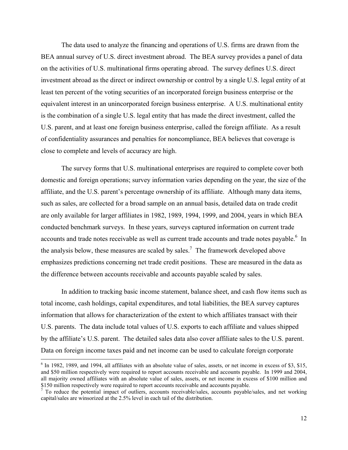The data used to analyze the financing and operations of U.S. firms are drawn from the BEA annual survey of U.S. direct investment abroad. The BEA survey provides a panel of data on the activities of U.S. multinational firms operating abroad. The survey defines U.S. direct investment abroad as the direct or indirect ownership or control by a single U.S. legal entity of at least ten percent of the voting securities of an incorporated foreign business enterprise or the equivalent interest in an unincorporated foreign business enterprise. A U.S. multinational entity is the combination of a single U.S. legal entity that has made the direct investment, called the U.S. parent, and at least one foreign business enterprise, called the foreign affiliate. As a result of confidentiality assurances and penalties for noncompliance, BEA believes that coverage is close to complete and levels of accuracy are high.

The survey forms that U.S. multinational enterprises are required to complete cover both domestic and foreign operations; survey information varies depending on the year, the size of the affiliate, and the U.S. parent's percentage ownership of its affiliate. Although many data items, such as sales, are collected for a broad sample on an annual basis, detailed data on trade credit are only available for larger affiliates in 1982, 1989, 1994, 1999, and 2004, years in which BEA conducted benchmark surveys. In these years, surveys captured information on current trade accounts and trade notes receivable as well as current trade accounts and trade notes payable. <sup>6</sup> In the analysis below, these measures are scaled by sales.<sup>7</sup> The framework developed above emphasizes predictions concerning net trade credit positions. These are measured in the data as the difference between accounts receivable and accounts payable scaled by sales.

In addition to tracking basic income statement, balance sheet, and cash flow items such as total income, cash holdings, capital expenditures, and total liabilities, the BEA survey captures information that allows for characterization of the extent to which affiliates transact with their U.S. parents. The data include total values of U.S. exports to each affiliate and values shipped by the affiliate's U.S. parent. The detailed sales data also cover affiliate sales to the U.S. parent. Data on foreign income taxes paid and net income can be used to calculate foreign corporate

<sup>&</sup>lt;sup>6</sup> In 1982, 1989, and 1994, all affiliates with an absolute value of sales, assets, or net income in excess of \$3, \$15, and \$50 million respectively were required to report accounts receivable and accounts payable. In 1999 and 2004, all majority owned affiliates with an absolute value of sales, assets, or net income in excess of \$100 million and \$150 million respectively were required to report accounts receivable and accounts payable.

 $\overline{7}$  To reduce the potential impact of outliers, accounts receivable/sales, accounts payable/sales, and net working capital/sales are winsorized at the 2.5% level in each tail of the distribution.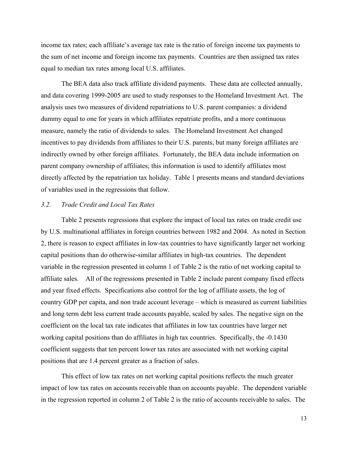income tax rates; each affiliate's average tax rate is the ratio of foreign income tax payments to the sum of net income and foreign income tax payments. Countries are then assigned tax rates equal to median tax rates among local U.S. affiliates.

The BEA data also track affiliate dividend payments. These data are collected annually, and data covering 1999-2005 are used to study responses to the Homeland Investment Act. The analysis uses two measures of dividend repatriations to U.S. parent companies: a dividend dummy equal to one for years in which affiliates repatriate profits, and a more continuous measure, namely the ratio of dividends to sales. The Homeland Investment Act changed incentives to pay dividends from affiliates to their U.S. parents, but many foreign affiliates are indirectly owned by other foreign affiliates. Fortunately, the BEA data include information on parent company ownership of affiliates; this information is used to identify affiliates most directly affected by the repatriation tax holiday. Table 1 presents means and standard deviations of variables used in the regressions that follow.

## *3.2. Trade Credit and Local Tax Rates*

Table 2 presents regressions that explore the impact of local tax rates on trade credit use by U.S. multinational affiliates in foreign countries between 1982 and 2004. As noted in Section 2, there is reason to expect affiliates in low-tax countries to have significantly larger net working capital positions than do otherwise-similar affiliates in high-tax countries. The dependent variable in the regression presented in column 1 of Table 2 is the ratio of net working capital to affiliate sales. All of the regressions presented in Table 2 include parent company fixed effects and year fixed effects. Specifications also control for the log of affiliate assets, the log of country GDP per capita, and non trade account leverage – which is measured as current liabilities and long term debt less current trade accounts payable, scaled by sales. The negative sign on the coefficient on the local tax rate indicates that affiliates in low tax countries have larger net working capital positions than do affiliates in high tax countries. Specifically, the -0.1430 coefficient suggests that ten percent lower tax rates are associated with net working capital positions that are 1.4 percent greater as a fraction of sales.

This effect of low tax rates on net working capital positions reflects the much greater impact of low tax rates on accounts receivable than on accounts payable. The dependent variable in the regression reported in column 2 of Table 2 is the ratio of accounts receivable to sales. The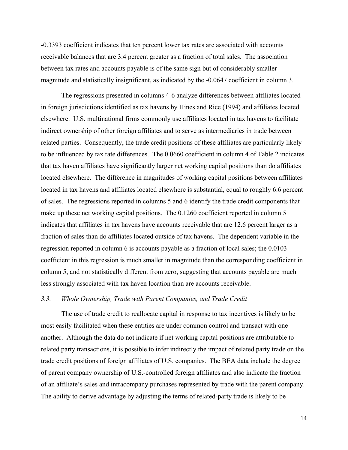-0.3393 coefficient indicates that ten percent lower tax rates are associated with accounts receivable balances that are 3.4 percent greater as a fraction of total sales. The association between tax rates and accounts payable is of the same sign but of considerably smaller magnitude and statistically insignificant, as indicated by the -0.0647 coefficient in column 3.

The regressions presented in columns 4-6 analyze differences between affiliates located in foreign jurisdictions identified as tax havens by Hines and Rice (1994) and affiliates located elsewhere. U.S. multinational firms commonly use affiliates located in tax havens to facilitate indirect ownership of other foreign affiliates and to serve as intermediaries in trade between related parties. Consequently, the trade credit positions of these affiliates are particularly likely to be influenced by tax rate differences. The 0.0660 coefficient in column 4 of Table 2 indicates that tax haven affiliates have significantly larger net working capital positions than do affiliates located elsewhere. The difference in magnitudes of working capital positions between affiliates located in tax havens and affiliates located elsewhere is substantial, equal to roughly 6.6 percent of sales. The regressions reported in columns 5 and 6 identify the trade credit components that make up these net working capital positions. The 0.1260 coefficient reported in column 5 indicates that affiliates in tax havens have accounts receivable that are 12.6 percent larger as a fraction of sales than do affiliates located outside of tax havens. The dependent variable in the regression reported in column 6 is accounts payable as a fraction of local sales; the 0.0103 coefficient in this regression is much smaller in magnitude than the corresponding coefficient in column 5, and not statistically different from zero, suggesting that accounts payable are much less strongly associated with tax haven location than are accounts receivable.

## *3.3. Whole Ownership, Trade with Parent Companies, and Trade Credit*

The use of trade credit to reallocate capital in response to tax incentives is likely to be most easily facilitated when these entities are under common control and transact with one another. Although the data do not indicate if net working capital positions are attributable to related party transactions, it is possible to infer indirectly the impact of related party trade on the trade credit positions of foreign affiliates of U.S. companies. The BEA data include the degree of parent company ownership of U.S.-controlled foreign affiliates and also indicate the fraction of an affiliate's sales and intracompany purchases represented by trade with the parent company. The ability to derive advantage by adjusting the terms of related-party trade is likely to be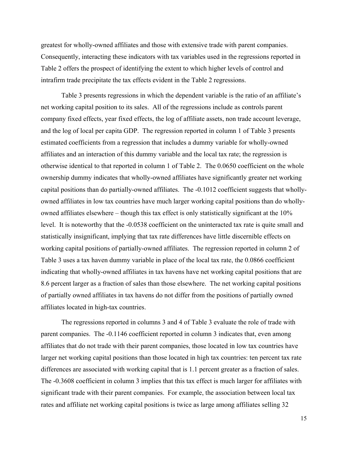greatest for wholly-owned affiliates and those with extensive trade with parent companies. Consequently, interacting these indicators with tax variables used in the regressions reported in Table 2 offers the prospect of identifying the extent to which higher levels of control and intrafirm trade precipitate the tax effects evident in the Table 2 regressions.

Table 3 presents regressions in which the dependent variable is the ratio of an affiliate's net working capital position to its sales. All of the regressions include as controls parent company fixed effects, year fixed effects, the log of affiliate assets, non trade account leverage, and the log of local per capita GDP. The regression reported in column 1 of Table 3 presents estimated coefficients from a regression that includes a dummy variable for wholly-owned affiliates and an interaction of this dummy variable and the local tax rate; the regression is otherwise identical to that reported in column 1 of Table 2. The 0.0650 coefficient on the whole ownership dummy indicates that wholly-owned affiliates have significantly greater net working capital positions than do partially-owned affiliates. The -0.1012 coefficient suggests that whollyowned affiliates in low tax countries have much larger working capital positions than do whollyowned affiliates elsewhere – though this tax effect is only statistically significant at the 10% level. It is noteworthy that the -0.0538 coefficient on the uninteracted tax rate is quite small and statistically insignificant, implying that tax rate differences have little discernible effects on working capital positions of partially-owned affiliates. The regression reported in column 2 of Table 3 uses a tax haven dummy variable in place of the local tax rate, the 0.0866 coefficient indicating that wholly-owned affiliates in tax havens have net working capital positions that are 8.6 percent larger as a fraction of sales than those elsewhere. The net working capital positions of partially owned affiliates in tax havens do not differ from the positions of partially owned affiliates located in high-tax countries.

The regressions reported in columns 3 and 4 of Table 3 evaluate the role of trade with parent companies. The -0.1146 coefficient reported in column 3 indicates that, even among affiliates that do not trade with their parent companies, those located in low tax countries have larger net working capital positions than those located in high tax countries: ten percent tax rate differences are associated with working capital that is 1.1 percent greater as a fraction of sales. The -0.3608 coefficient in column 3 implies that this tax effect is much larger for affiliates with significant trade with their parent companies. For example, the association between local tax rates and affiliate net working capital positions is twice as large among affiliates selling 32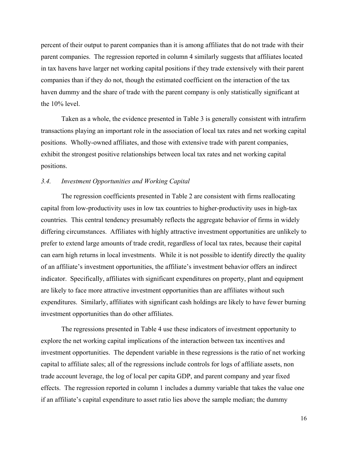percent of their output to parent companies than it is among affiliates that do not trade with their parent companies. The regression reported in column 4 similarly suggests that affiliates located in tax havens have larger net working capital positions if they trade extensively with their parent companies than if they do not, though the estimated coefficient on the interaction of the tax haven dummy and the share of trade with the parent company is only statistically significant at the 10% level.

Taken as a whole, the evidence presented in Table 3 is generally consistent with intrafirm transactions playing an important role in the association of local tax rates and net working capital positions. Wholly-owned affiliates, and those with extensive trade with parent companies, exhibit the strongest positive relationships between local tax rates and net working capital positions.

### *3.4. Investment Opportunities and Working Capital*

The regression coefficients presented in Table 2 are consistent with firms reallocating capital from low-productivity uses in low tax countries to higher-productivity uses in high-tax countries. This central tendency presumably reflects the aggregate behavior of firms in widely differing circumstances. Affiliates with highly attractive investment opportunities are unlikely to prefer to extend large amounts of trade credit, regardless of local tax rates, because their capital can earn high returns in local investments. While it is not possible to identify directly the quality of an affiliate's investment opportunities, the affiliate's investment behavior offers an indirect indicator. Specifically, affiliates with significant expenditures on property, plant and equipment are likely to face more attractive investment opportunities than are affiliates without such expenditures. Similarly, affiliates with significant cash holdings are likely to have fewer burning investment opportunities than do other affiliates.

The regressions presented in Table 4 use these indicators of investment opportunity to explore the net working capital implications of the interaction between tax incentives and investment opportunities. The dependent variable in these regressions is the ratio of net working capital to affiliate sales; all of the regressions include controls for logs of affiliate assets, non trade account leverage, the log of local per capita GDP, and parent company and year fixed effects. The regression reported in column 1 includes a dummy variable that takes the value one if an affiliate's capital expenditure to asset ratio lies above the sample median; the dummy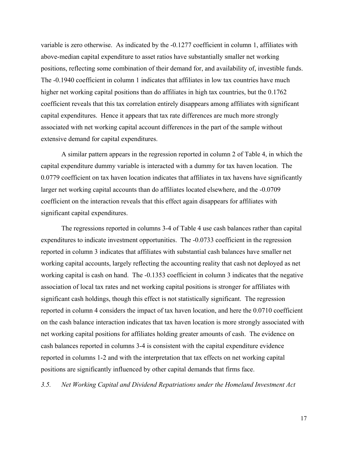variable is zero otherwise. As indicated by the -0.1277 coefficient in column 1, affiliates with above-median capital expenditure to asset ratios have substantially smaller net working positions, reflecting some combination of their demand for, and availability of, investible funds. The -0.1940 coefficient in column 1 indicates that affiliates in low tax countries have much higher net working capital positions than do affiliates in high tax countries, but the 0.1762 coefficient reveals that this tax correlation entirely disappears among affiliates with significant capital expenditures. Hence it appears that tax rate differences are much more strongly associated with net working capital account differences in the part of the sample without extensive demand for capital expenditures.

A similar pattern appears in the regression reported in column 2 of Table 4, in which the capital expenditure dummy variable is interacted with a dummy for tax haven location. The 0.0779 coefficient on tax haven location indicates that affiliates in tax havens have significantly larger net working capital accounts than do affiliates located elsewhere, and the -0.0709 coefficient on the interaction reveals that this effect again disappears for affiliates with significant capital expenditures.

The regressions reported in columns 3-4 of Table 4 use cash balances rather than capital expenditures to indicate investment opportunities. The -0.0733 coefficient in the regression reported in column 3 indicates that affiliates with substantial cash balances have smaller net working capital accounts, largely reflecting the accounting reality that cash not deployed as net working capital is cash on hand. The -0.1353 coefficient in column 3 indicates that the negative association of local tax rates and net working capital positions is stronger for affiliates with significant cash holdings, though this effect is not statistically significant. The regression reported in column 4 considers the impact of tax haven location, and here the 0.0710 coefficient on the cash balance interaction indicates that tax haven location is more strongly associated with net working capital positions for affiliates holding greater amounts of cash. The evidence on cash balances reported in columns 3-4 is consistent with the capital expenditure evidence reported in columns 1-2 and with the interpretation that tax effects on net working capital positions are significantly influenced by other capital demands that firms face.

*3.5. Net Working Capital and Dividend Repatriations under the Homeland Investment Act*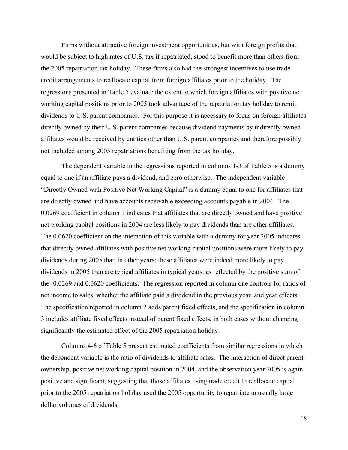Firms without attractive foreign investment opportunities, but with foreign profits that would be subject to high rates of U.S. tax if repatriated, stood to benefit more than others from the 2005 repatriation tax holiday. These firms also had the strongest incentives to use trade credit arrangements to reallocate capital from foreign affiliates prior to the holiday. The regressions presented in Table 5 evaluate the extent to which foreign affiliates with positive net working capital positions prior to 2005 took advantage of the repatriation tax holiday to remit dividends to U.S. parent companies. For this purpose it is necessary to focus on foreign affiliates directly owned by their U.S. parent companies because dividend payments by indirectly owned affiliates would be received by entities other than U.S. parent companies and therefore possibly not included among 2005 repatriations benefiting from the tax holiday.

The dependent variable in the regressions reported in columns 1-3 of Table 5 is a dummy equal to one if an affiliate pays a dividend, and zero otherwise. The independent variable "Directly Owned with Positive Net Working Capital" is a dummy equal to one for affiliates that are directly owned and have accounts receivable exceeding accounts payable in 2004. The - 0.0269 coefficient in column 1 indicates that affiliates that are directly owned and have positive net working capital positions in 2004 are less likely to pay dividends than are other affiliates. The 0.0620 coefficient on the interaction of this variable with a dummy for year 2005 indicates that directly owned affiliates with positive net working capital positions were more likely to pay dividends during 2005 than in other years; these affiliates were indeed more likely to pay dividends in 2005 than are typical affiliates in typical years, as reflected by the positive sum of the -0.0269 and 0.0620 coefficients. The regression reported in column one controls for ratios of net income to sales, whether the affiliate paid a dividend in the previous year, and year effects. The specification reported in column 2 adds parent fixed effects, and the specification in column 3 includes affiliate fixed effects instead of parent fixed effects, in both cases without changing significantly the estimated effect of the 2005 repatriation holiday.

Columns 4-6 of Table 5 present estimated coefficients from similar regressions in which the dependent variable is the ratio of dividends to affiliate sales. The interaction of direct parent ownership, positive net working capital position in 2004, and the observation year 2005 is again positive and significant, suggesting that those affiliates using trade credit to reallocate capital prior to the 2005 repatriation holiday used the 2005 opportunity to repatriate unusually large dollar volumes of dividends.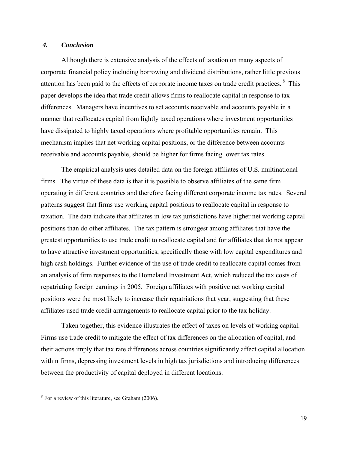## *4. Conclusion*

Although there is extensive analysis of the effects of taxation on many aspects of corporate financial policy including borrowing and dividend distributions, rather little previous attention has been paid to the effects of corporate income taxes on trade credit practices. 8 This paper develops the idea that trade credit allows firms to reallocate capital in response to tax differences. Managers have incentives to set accounts receivable and accounts payable in a manner that reallocates capital from lightly taxed operations where investment opportunities have dissipated to highly taxed operations where profitable opportunities remain. This mechanism implies that net working capital positions, or the difference between accounts receivable and accounts payable, should be higher for firms facing lower tax rates.

The empirical analysis uses detailed data on the foreign affiliates of U.S. multinational firms. The virtue of these data is that it is possible to observe affiliates of the same firm operating in different countries and therefore facing different corporate income tax rates. Several patterns suggest that firms use working capital positions to reallocate capital in response to taxation. The data indicate that affiliates in low tax jurisdictions have higher net working capital positions than do other affiliates. The tax pattern is strongest among affiliates that have the greatest opportunities to use trade credit to reallocate capital and for affiliates that do not appear to have attractive investment opportunities, specifically those with low capital expenditures and high cash holdings. Further evidence of the use of trade credit to reallocate capital comes from an analysis of firm responses to the Homeland Investment Act, which reduced the tax costs of repatriating foreign earnings in 2005. Foreign affiliates with positive net working capital positions were the most likely to increase their repatriations that year, suggesting that these affiliates used trade credit arrangements to reallocate capital prior to the tax holiday.

Taken together, this evidence illustrates the effect of taxes on levels of working capital. Firms use trade credit to mitigate the effect of tax differences on the allocation of capital, and their actions imply that tax rate differences across countries significantly affect capital allocation within firms, depressing investment levels in high tax jurisdictions and introducing differences between the productivity of capital deployed in different locations.

<sup>&</sup>lt;sup>8</sup> For a review of this literature, see Graham (2006).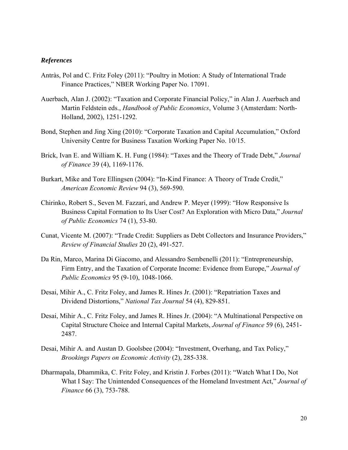## *References*

- Antràs, Pol and C. Fritz Foley (2011): "Poultry in Motion: A Study of International Trade Finance Practices," NBER Working Paper No. 17091.
- Auerbach, Alan J. (2002): "Taxation and Corporate Financial Policy," in Alan J. Auerbach and Martin Feldstein eds., *Handbook of Public Economics*, Volume 3 (Amsterdam: North-Holland, 2002), 1251-1292.
- Bond, Stephen and Jing Xing (2010): "Corporate Taxation and Capital Accumulation," Oxford University Centre for Business Taxation Working Paper No. 10/15.
- Brick, Ivan E. and William K. H. Fung (1984): "Taxes and the Theory of Trade Debt," *Journal of Finance* 39 (4), 1169-1176.
- Burkart, Mike and Tore Ellingsen (2004): "In-Kind Finance: A Theory of Trade Credit," *American Economic Review* 94 (3), 569-590.
- Chirinko, Robert S., Seven M. Fazzari, and Andrew P. Meyer (1999): "How Responsive Is Business Capital Formation to Its User Cost? An Exploration with Micro Data," *Journal of Public Economics* 74 (1), 53-80.
- Cunat, Vicente M. (2007): "Trade Credit: Suppliers as Debt Collectors and Insurance Providers," *Review of Financial Studies* 20 (2), 491-527.
- Da Rin, Marco, Marina Di Giacomo, and Alessandro Sembenelli (2011): "Entrepreneurship, Firm Entry, and the Taxation of Corporate Income: Evidence from Europe," *Journal of Public Economics* 95 (9-10), 1048-1066.
- Desai, Mihir A., C. Fritz Foley, and James R. Hines Jr. (2001): "Repatriation Taxes and Dividend Distortions," *National Tax Journal* 54 (4), 829-851.
- Desai, Mihir A., C. Fritz Foley, and James R. Hines Jr. (2004): "A Multinational Perspective on Capital Structure Choice and Internal Capital Markets, *Journal of Finance* 59 (6), 2451- 2487.
- Desai, Mihir A. and Austan D. Goolsbee (2004): "Investment, Overhang, and Tax Policy," *Brookings Papers on Economic Activity* (2), 285-338.
- Dharmapala, Dhammika, C. Fritz Foley, and Kristin J. Forbes (2011): "Watch What I Do, Not What I Say: The Unintended Consequences of the Homeland Investment Act," *Journal of Finance* 66 (3), 753-788.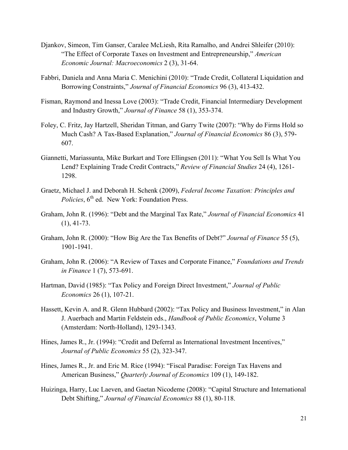- Djankov, Simeon, Tim Ganser, Caralee McLiesh, Rita Ramalho, and Andrei Shleifer (2010): "The Effect of Corporate Taxes on Investment and Entrepreneurship," *American Economic Journal: Macroeconomics* 2 (3), 31-64.
- Fabbri, Daniela and Anna Maria C. Menichini (2010): "Trade Credit, Collateral Liquidation and Borrowing Constraints," *Journal of Financial Economics* 96 (3), 413-432.
- Fisman, Raymond and Inessa Love (2003): "Trade Credit, Financial Intermediary Development and Industry Growth," *Journal of Finance* 58 (1), 353-374.
- Foley, C. Fritz, Jay Hartzell, Sheridan Titman, and Garry Twite (2007): "Why do Firms Hold so Much Cash? A Tax-Based Explanation," *Journal of Financial Economics* 86 (3), 579- 607.
- Giannetti, Mariassunta, Mike Burkart and Tore Ellingsen (2011): "What You Sell Is What You Lend? Explaining Trade Credit Contracts," *Review of Financial Studies* 24 (4), 1261- 1298.
- Graetz, Michael J. and Deborah H. Schenk (2009), *Federal Income Taxation: Principles and Policies*, 6<sup>th</sup> ed. New York: Foundation Press.
- Graham, John R. (1996): "Debt and the Marginal Tax Rate," *Journal of Financial Economics* 41 (1), 41-73.
- Graham, John R. (2000): "How Big Are the Tax Benefits of Debt?" *Journal of Finance* 55 (5), 1901-1941.
- Graham, John R. (2006): "A Review of Taxes and Corporate Finance," *Foundations and Trends in Finance* 1 (7), 573-691.
- Hartman, David (1985): "Tax Policy and Foreign Direct Investment," *Journal of Public Economics* 26 (1), 107-21.
- Hassett, Kevin A. and R. Glenn Hubbard (2002): "Tax Policy and Business Investment," in Alan J. Auerbach and Martin Feldstein eds., *Handbook of Public Economics*, Volume 3 (Amsterdam: North-Holland), 1293-1343.
- Hines, James R., Jr. (1994): "Credit and Deferral as International Investment Incentives," *Journal of Public Economics* 55 (2), 323-347.
- Hines, James R., Jr. and Eric M. Rice (1994): "Fiscal Paradise: Foreign Tax Havens and American Business," *Quarterly Journal of Economics* 109 (1), 149-182.
- Huizinga, Harry, Luc Laeven, and Gaetan Nicodeme (2008): "Capital Structure and International Debt Shifting," *Journal of Financial Economics* 88 (1), 80-118.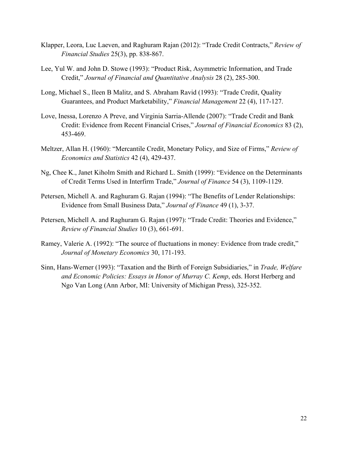- Klapper, Leora, Luc Laeven, and Raghuram Rajan (2012): "Trade Credit Contracts," *Review of Financial Studies* 25(3), pp. 838-867.
- Lee, Yul W. and John D. Stowe (1993): "Product Risk, Asymmetric Information, and Trade Credit," *Journal of Financial and Quantitative Analysis* 28 (2), 285-300.
- Long, Michael S., Ileen B Malitz, and S. Abraham Ravid (1993): "Trade Credit, Quality Guarantees, and Product Marketability," *Financial Management* 22 (4), 117-127.
- Love, Inessa, Lorenzo A Preve, and Virginia Sarria-Allende (2007): "Trade Credit and Bank Credit: Evidence from Recent Financial Crises," *Journal of Financial Economics* 83 (2), 453-469.
- Meltzer, Allan H. (1960): "Mercantile Credit, Monetary Policy, and Size of Firms," *Review of Economics and Statistics* 42 (4), 429-437.
- Ng, Chee K., Janet Kiholm Smith and Richard L. Smith (1999): "Evidence on the Determinants of Credit Terms Used in Interfirm Trade," *Journal of Finance* 54 (3), 1109-1129.
- Petersen, Michell A. and Raghuram G. Rajan (1994): "The Benefits of Lender Relationships: Evidence from Small Business Data," *Journal of Finance* 49 (1), 3-37.
- Petersen, Michell A. and Raghuram G. Rajan (1997): "Trade Credit: Theories and Evidence," *Review of Financial Studies* 10 (3), 661-691.
- Ramey, Valerie A. (1992): "The source of fluctuations in money: Evidence from trade credit," *Journal of Monetary Economics* 30, 171-193.
- Sinn, Hans-Werner (1993): "Taxation and the Birth of Foreign Subsidiaries," in *Trade, Welfare and Economic Policies: Essays in Honor of Murray C. Kemp*, eds. Horst Herberg and Ngo Van Long (Ann Arbor, MI: University of Michigan Press), 325-352.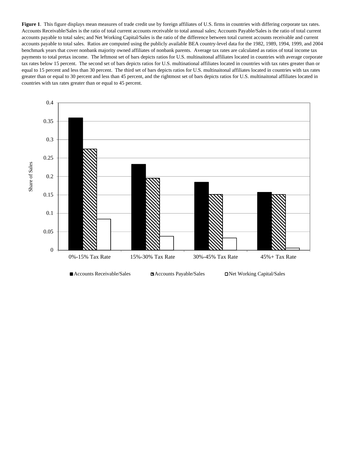Figure 1. This figure displays mean measures of trade credit use by foreign affiliates of U.S. firms in countries with differing corporate tax rates. Accounts Receivable/Sales is the ratio of total current accounts receivable to total annual sales; Accounts Payable/Sales is the ratio of total current accounts payable to total sales; and Net Working Capital/Sales is the ratio of the difference between total current accounts receivable and current accounts payable to total sales. Ratios are computed using the publicly available BEA country-level data for the 1982, 1989, 1994, 1999, and 2004 benchmark years that cover nonbank majority owned affiliates of nonbank parents. Average tax rates are calculated as ratios of total income tax payments to total pretax income. The leftmost set of bars depicts ratios for U.S. multinaitonal affiliates located in countries with average corporate tax rates below 15 percent. The second set of bars depicts ratios for U.S. multinational affiliates located in countries with tax rates greater than or equal to 15 percent and less than 30 percent. The third set of bars depicts ratios for U.S. multinaitonal affiliates located in countries with tax rates greater than or equal to 30 percent and less than 45 percent, and the rightmost set of bars depicts ratios for U.S. multinaitonal affiliates located in countries with tax rates greater than or equal to 45 percent.

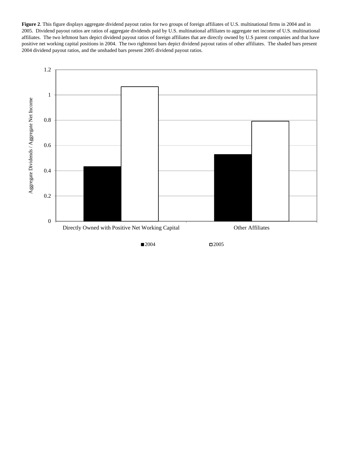**Figure 2**. This figure displays aggregate dividend payout ratios for two groups of foreign affiliates of U.S. multinational firms in 2004 and in 2005. Dividend payout ratios are ratios of aggregate dividends paid by U.S. multinational affiliates to aggregate net income of U.S. multinational affiliates. The two leftmost bars depict dividend payout ratios of foreign affiliates that are directly owned by U.S parent companies and that have positive net working capital positions in 2004. The two rightmost bars depict dividend payout ratios of other affiliates. The shaded bars present 2004 dividend payout ratios, and the unshaded bars present 2005 dividend payout ratios.



 $\Box$ 2004  $\Box$ 2005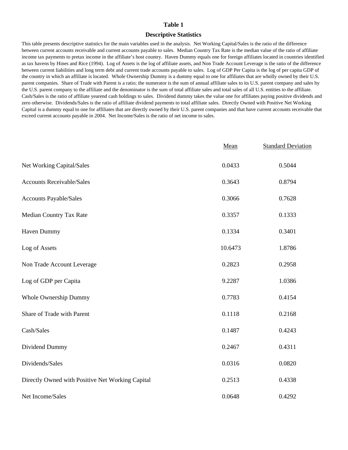#### **Descriptive Statistics**

This table presents descriptive statistics for the main variables used in the analysis. Net Working Capital/Sales is the ratio of the difference between current accounts receivable and current accounts payable to sales. Median Country Tax Rate is the median value of the ratio of affiliate income tax payments to pretax income in the affiliate's host country. Haven Dummy equals one for foreign affiliates located in countries identified as tax havens by Hines and Rice (1994). Log of Assets is the log of affiliate assets, and Non Trade Account Leverage is the ratio of the difference between current liabilities and long term debt and current trade accounts payable to sales. Log of GDP Per Capita is the log of per capita GDP of the country in which an affiliate is located. Whole Ownership Dummy is a dummy equal to one for affiliates that are wholly owned by their U.S. parent companies. Share of Trade with Parent is a ratio; the numerator is the sum of annual affiliate sales to its U.S. parent company and sales by the U.S. parent company to the affiliate and the denominator is the sum of total affiliate sales and total sales of all U.S. entities to the affiliate. Cash/Sales is the ratio of affiliate yearend cash holdings to sales. Dividend dummy takes the value one for affiliates paying positive dividends and zero otherwise. Dividends/Sales is the ratio of affiliate dividend payments to total affiliate sales. Directly Owned with Positive Net Working Capital is a dummy equal to one for affiliates that are directly owned by their U.S. parent companies and that have current accounts receivable that exceed current accounts payable in 2004. Net Income/Sales is the ratio of net income to sales.

|                                                  | Mean    | <b>Standard Deviation</b> |
|--------------------------------------------------|---------|---------------------------|
| Net Working Capital/Sales                        | 0.0433  | 0.5044                    |
| <b>Accounts Receivable/Sales</b>                 | 0.3643  | 0.8794                    |
| Accounts Payable/Sales                           | 0.3066  | 0.7628                    |
| Median Country Tax Rate                          | 0.3357  | 0.1333                    |
| Haven Dummy                                      | 0.1334  | 0.3401                    |
| Log of Assets                                    | 10.6473 | 1.8786                    |
| Non Trade Account Leverage                       | 0.2823  | 0.2958                    |
| Log of GDP per Capita                            | 9.2287  | 1.0386                    |
| Whole Ownership Dummy                            | 0.7783  | 0.4154                    |
| Share of Trade with Parent                       | 0.1118  | 0.2168                    |
| Cash/Sales                                       | 0.1487  | 0.4243                    |
| Dividend Dummy                                   | 0.2467  | 0.4311                    |
| Dividends/Sales                                  | 0.0316  | 0.0820                    |
| Directly Owned with Positive Net Working Capital | 0.2513  | 0.4338                    |
| Net Income/Sales                                 | 0.0648  | 0.4292                    |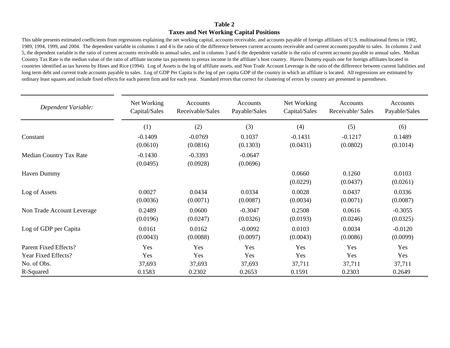## **Taxes and Net Working Capital Positions**

This table presents estimated coefficients from regressions explaining the net working capital, accounts receivable, and accounts payable of foreign affiliates of U.S. multinational firms in 1982, 1989, 1994, 1999, and 2004. The dependent variable in columns 1 and 4 is the ratio of the difference between current accounts receivable and current accounts payable to sales. In columns 2 and 5, the dependent variable is the ratio of current accounts receivable to annual sales, and in columns 3 and 6 the dependent variable is the ratio of current accounts payable to annual sales. Median Country Tax Rate is the median value of the ratio of affiliate income tax payments to pretax income in the affiliate's host country. Haven Dummy equals one for foreign affiliates located in countries identified as tax havens by Hines and Rice (1994). Log of Assets is the log of affiliate assets, and Non Trade Account Leverage is the ratio of the difference between current liabilities and long term debt and current trade accounts payable to sales. Log of GDP Per Capita is the log of per capita GDP of the country in which an affiliate is located. All regressions are estimated by ordinary least squares and include fixed effects for each parent firm and for each year. Standard errors that correct for clustering of errors by country are presented in parentheses.

| Dependent Variable:        | Net Working<br>Capital/Sales | Accounts<br>Receivable/Sales | Accounts<br>Payable/Sales | Net Working<br>Capital/Sales | Accounts<br>Receivable/ Sales | Accounts<br>Payable/Sales |
|----------------------------|------------------------------|------------------------------|---------------------------|------------------------------|-------------------------------|---------------------------|
|                            | (1)                          | (2)                          | (3)                       | (4)                          | (5)                           | (6)                       |
| Constant                   | $-0.1409$<br>(0.0610)        | $-0.0769$<br>(0.0816)        | 0.1037<br>(0.1303)        | $-0.1431$<br>(0.0431)        | $-0.1217$<br>(0.0802)         | 0.1489<br>(0.1014)        |
| Median Country Tax Rate    | $-0.1430$<br>(0.0495)        | $-0.3393$<br>(0.0928)        | $-0.0647$<br>(0.0696)     |                              |                               |                           |
| Haven Dummy                |                              |                              |                           | 0.0660<br>(0.0229)           | 0.1260<br>(0.0437)            | 0.0103<br>(0.0261)        |
| Log of Assets              | 0.0027<br>(0.0036)           | 0.0434<br>(0.0071)           | 0.0334<br>(0.0087)        | 0.0028<br>(0.0034)           | 0.0437<br>(0.0071)            | 0.0336<br>(0.0087)        |
| Non Trade Account Leverage | 0.2489<br>(0.0196)           | 0.0600<br>(0.0247)           | $-0.3047$<br>(0.0326)     | 0.2508<br>(0.0193)           | 0.0616<br>(0.0246)            | $-0.3055$<br>(0.0325)     |
| Log of GDP per Capita      | 0.0161<br>(0.0043)           | 0.0162<br>(0.0088)           | $-0.0092$<br>(0.0097)     | 0.0103<br>(0.0043)           | 0.0034<br>(0.0086)            | $-0.0120$<br>(0.0099)     |
| Parent Fixed Effects?      | Yes                          | Yes                          | Yes                       | Yes                          | Yes                           | Yes                       |
| Year Fixed Effects?        | Yes                          | Yes                          | Yes                       | Yes                          | Yes                           | Yes                       |
| No. of Obs.                | 37,693                       | 37,693                       | 37,693                    | 37,711                       | 37,711                        | 37,711                    |
| R-Squared                  | 0.1583                       | 0.2302                       | 0.2653                    | 0.1591                       | 0.2303                        | 0.2649                    |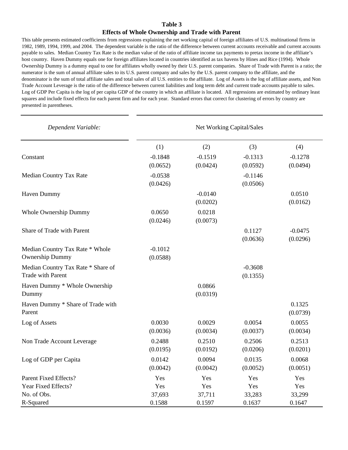#### **Effects of Whole Ownership and Trade with Parent**

This table presents estimated coefficients from regressions explaining the net working capital of foreign affiliates of U.S. multinational firms in 1982, 1989, 1994, 1999, and 2004. The dependent variable is the ratio of the difference between current accounts receivable and current accounts payable to sales. Median Country Tax Rate is the median value of the ratio of affiliate income tax payments to pretax income in the affiliate's host country. Haven Dummy equals one for foreign affiliates located in countries identified as tax havens by Hines and Rice (1994). Whole Ownership Dummy is a dummy equal to one for affiliates wholly owned by their U.S. parent companies. Share of Trade with Parent is a ratio; the numerator is the sum of annual affiliate sales to its U.S. parent company and sales by the U.S. parent company to the affiliate, and the denominator is the sum of total affiliate sales and total sales of all U.S. entities to the affiliate. Log of Assets is the log of affiliate assets, and Non Trade Account Leverage is the ratio of the difference between current liabilities and long term debt and current trade accounts payable to sales. Log of GDP Per Capita is the log of per capita GDP of the country in which an affiliate is located. All regressions are estimated by ordinary least squares and include fixed effects for each parent firm and for each year. Standard errors that correct for clustering of errors by country are presented in parentheses.

| Dependent Variable:                                            | Net Working Capital/Sales |                       |                       |                       |  |
|----------------------------------------------------------------|---------------------------|-----------------------|-----------------------|-----------------------|--|
|                                                                | (1)                       | (2)                   | (3)                   | (4)                   |  |
| Constant                                                       | $-0.1848$<br>(0.0652)     | $-0.1519$<br>(0.0424) | $-0.1313$<br>(0.0592) | $-0.1278$<br>(0.0494) |  |
| Median Country Tax Rate                                        | $-0.0538$<br>(0.0426)     |                       | $-0.1146$<br>(0.0506) |                       |  |
| Haven Dummy                                                    |                           | $-0.0140$<br>(0.0202) |                       | 0.0510<br>(0.0162)    |  |
| Whole Ownership Dummy                                          | 0.0650<br>(0.0246)        | 0.0218<br>(0.0073)    |                       |                       |  |
| Share of Trade with Parent                                     |                           |                       | 0.1127<br>(0.0636)    | $-0.0475$<br>(0.0296) |  |
| Median Country Tax Rate * Whole<br><b>Ownership Dummy</b>      | $-0.1012$<br>(0.0588)     |                       |                       |                       |  |
| Median Country Tax Rate * Share of<br><b>Trade with Parent</b> |                           |                       | $-0.3608$<br>(0.1355) |                       |  |
| Haven Dummy * Whole Ownership<br>Dummy                         |                           | 0.0866<br>(0.0319)    |                       |                       |  |
| Haven Dummy * Share of Trade with<br>Parent                    |                           |                       |                       | 0.1325<br>(0.0739)    |  |
| Log of Assets                                                  | 0.0030<br>(0.0036)        | 0.0029<br>(0.0034)    | 0.0054<br>(0.0037)    | 0.0055<br>(0.0034)    |  |
| Non Trade Account Leverage                                     | 0.2488<br>(0.0195)        | 0.2510<br>(0.0192)    | 0.2506<br>(0.0206)    | 0.2513<br>(0.0201)    |  |
| Log of GDP per Capita                                          | 0.0142<br>(0.0042)        | 0.0094<br>(0.0042)    | 0.0135<br>(0.0052)    | 0.0068<br>(0.0051)    |  |
| <b>Parent Fixed Effects?</b>                                   | Yes                       | Yes                   | Yes                   | Yes                   |  |
| Year Fixed Effects?                                            | Yes                       | Yes                   | Yes                   | Yes                   |  |
| No. of Obs.                                                    | 37,693                    | 37,711                | 33,283                | 33,299                |  |
| R-Squared                                                      | 0.1588                    | 0.1597                | 0.1637                | 0.1647                |  |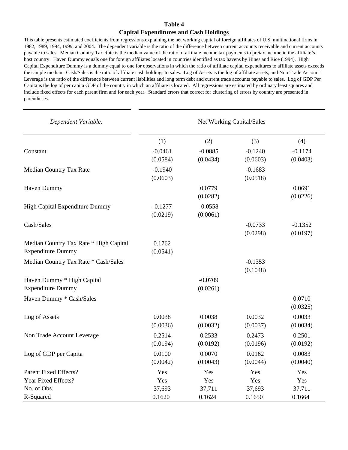#### **Capital Expenditures and Cash Holdings**

This table presents estimated coefficients from regressions explaining the net working capital of foreign affiliates of U.S. multinational firms in 1982, 1989, 1994, 1999, and 2004. The dependent variable is the ratio of the difference between current accounts receivable and current accounts payable to sales. Median Country Tax Rate is the median value of the ratio of affiliate income tax payments to pretax income in the affiliate's host country. Haven Dummy equals one for foreign affiliates located in countries identified as tax havens by Hines and Rice (1994). High Capital Expenditure Dummy is a dummy equal to one for observations in which the ratio of affiliate capital expenditures to affiliate assets exceeds the sample median. Cash/Sales is the ratio of affiliate cash holdings to sales. Log of Assets is the log of affiliate assets, and Non Trade Account Leverage is the ratio of the difference between current liabilities and long term debt and current trade accounts payable to sales. Log of GDP Per Capita is the log of per capita GDP of the country in which an affiliate is located. All regressions are estimated by ordinary least squares and include fixed effects for each parent firm and for each year. Standard errors that correct for clustering of errors by country are presented in parentheses.

| Dependent Variable:                                                | Net Working Capital/Sales |                       |                       |                       |  |
|--------------------------------------------------------------------|---------------------------|-----------------------|-----------------------|-----------------------|--|
|                                                                    | (1)                       | (2)                   | (3)                   | (4)                   |  |
| Constant                                                           | $-0.0461$<br>(0.0584)     | $-0.0885$<br>(0.0434) | $-0.1240$<br>(0.0603) | $-0.1174$<br>(0.0403) |  |
| Median Country Tax Rate                                            | $-0.1940$<br>(0.0603)     |                       | $-0.1683$<br>(0.0518) |                       |  |
| Haven Dummy                                                        |                           | 0.0779<br>(0.0282)    |                       | 0.0691<br>(0.0226)    |  |
| High Capital Expenditure Dummy                                     | $-0.1277$<br>(0.0219)     | $-0.0558$<br>(0.0061) |                       |                       |  |
| Cash/Sales                                                         |                           |                       | $-0.0733$<br>(0.0298) | $-0.1352$<br>(0.0197) |  |
| Median Country Tax Rate * High Capital<br><b>Expenditure Dummy</b> | 0.1762<br>(0.0541)        |                       |                       |                       |  |
| Median Country Tax Rate * Cash/Sales                               |                           |                       | $-0.1353$<br>(0.1048) |                       |  |
| Haven Dummy * High Capital                                         |                           | $-0.0709$             |                       |                       |  |
| <b>Expenditure Dummy</b>                                           |                           | (0.0261)              |                       |                       |  |
| Haven Dummy * Cash/Sales                                           |                           |                       |                       | 0.0710<br>(0.0325)    |  |
| Log of Assets                                                      | 0.0038<br>(0.0036)        | 0.0038<br>(0.0032)    | 0.0032<br>(0.0037)    | 0.0033<br>(0.0034)    |  |
| Non Trade Account Leverage                                         | 0.2514<br>(0.0194)        | 0.2533<br>(0.0192)    | 0.2473<br>(0.0196)    | 0.2501<br>(0.0192)    |  |
| Log of GDP per Capita                                              | 0.0100<br>(0.0042)        | 0.0070<br>(0.0043)    | 0.0162<br>(0.0044)    | 0.0083<br>(0.0040)    |  |
| <b>Parent Fixed Effects?</b>                                       | Yes                       | Yes                   | Yes                   | Yes                   |  |
| Year Fixed Effects?                                                | Yes                       | Yes                   | Yes                   | Yes                   |  |
| No. of Obs.                                                        | 37,693                    | 37,711                | 37,693                | 37,711                |  |
| R-Squared                                                          | 0.1620                    | 0.1624                | 0.1650                | 0.1664                |  |